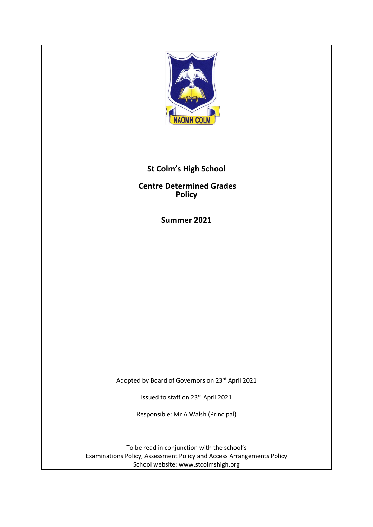

# **St Colm's High School**

**Centre Determined Grades Policy**

**Summer 2021**

Adopted by Board of Governors on 23rd April 2021

Issued to staff on 23rd April 2021

Responsible: Mr A.Walsh (Principal)

To be read in conjunction with the school's Examinations Policy, Assessment Policy and Access Arrangements Policy School website: www.stcolmshigh.org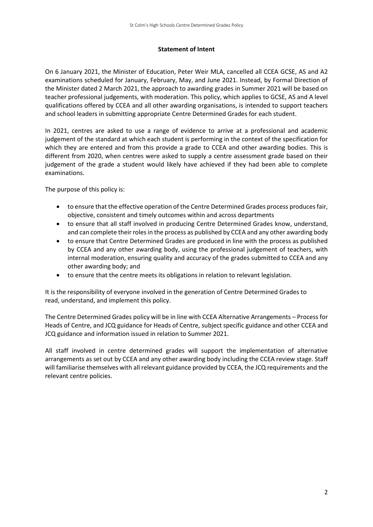#### **Statement of Intent**

On 6 January 2021, the Minister of Education, Peter Weir MLA, cancelled all CCEA GCSE, AS and A2 examinations scheduled for January, February, May, and June 2021. Instead, by Formal Direction of the Minister dated 2 March 2021, the approach to awarding grades in Summer 2021 will be based on teacher professional judgements, with moderation. This policy, which applies to GCSE, AS and A level qualifications offered by CCEA and all other awarding organisations, is intended to support teachers and school leaders in submitting appropriate Centre Determined Grades for each student.

In 2021, centres are asked to use a range of evidence to arrive at a professional and academic judgement of the standard at which each student is performing in the context of the specification for which they are entered and from this provide a grade to CCEA and other awarding bodies. This is different from 2020, when centres were asked to supply a centre assessment grade based on their judgement of the grade a student would likely have achieved if they had been able to complete examinations.

The purpose of this policy is:

- to ensure that the effective operation of the Centre Determined Grades process produces fair, objective, consistent and timely outcomes within and across departments
- to ensure that all staff involved in producing Centre Determined Grades know, understand, and can complete their roles in the process as published by CCEA and any other awarding body
- to ensure that Centre Determined Grades are produced in line with the process as published by CCEA and any other awarding body, using the professional judgement of teachers, with internal moderation, ensuring quality and accuracy of the grades submitted to CCEA and any other awarding body; and
- to ensure that the centre meets its obligations in relation to relevant legislation.

It is the responsibility of everyone involved in the generation of Centre Determined Grades to read, understand, and implement this policy.

The Centre Determined Grades policy will be in line with CCEA Alternative Arrangements – Process for Heads of Centre, and JCQ guidance for Heads of Centre, subject specific guidance and other CCEA and JCQ guidance and information issued in relation to Summer 2021.

All staff involved in centre determined grades will support the implementation of alternative arrangements as set out by CCEA and any other awarding body including the CCEA review stage. Staff will familiarise themselves with all relevant guidance provided by CCEA, the JCQ requirements and the relevant centre policies.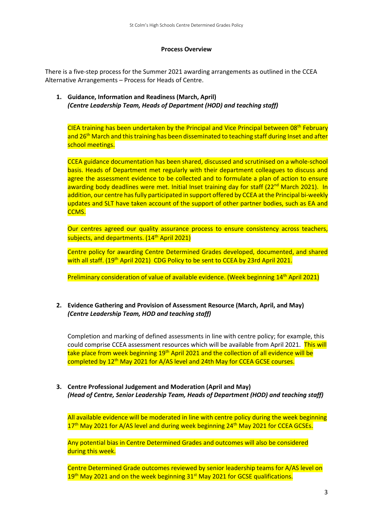#### **Process Overview**

There is a five-step process for the Summer 2021 awarding arrangements as outlined in the CCEA Alternative Arrangements – Process for Heads of Centre.

**1. Guidance, Information and Readiness (March, April)** *(Centre Leadership Team, Heads of Department (HOD) and teaching staff)*

CIEA training has been undertaken by the Principal and Vice Principal between 08<sup>th</sup> February and 26<sup>th</sup> March and this training has been disseminated to teaching staff during Inset and after school meetings.

CCEA guidance documentation has been shared, discussed and scrutinised on a whole-school basis. Heads of Department met regularly with their department colleagues to discuss and agree the assessment evidence to be collected and to formulate a plan of action to ensure awarding body deadlines were met. Initial Inset training day for staff (22<sup>nd</sup> March 2021). In addition, our centre has fully participated in support offered by CCEA at the Principal bi-weekly updates and SLT have taken account of the support of other partner bodies, such as EA and CCMS.

Our centres agreed our quality assurance process to ensure consistency across teachers, subjects, and departments. (14<sup>th</sup> April 2021)

Centre policy for awarding Centre Determined Grades developed, documented, and shared with all staff. (19<sup>th</sup> April 2021) CDG Policy to be sent to CCEA by 23rd April 2021.

Preliminary consideration of value of available evidence. (Week beginning 14<sup>th</sup> April 2021)

#### **2. Evidence Gathering and Provision of Assessment Resource (March, April, and May)** *(Centre Leadership Team, HOD and teaching staff)*

Completion and marking of defined assessments in line with centre policy; for example, this could comprise CCEA assessment resources which will be available from April 2021. This will take place from week beginning 19<sup>th</sup> April 2021 and the collection of all evidence will be completed by 12<sup>th</sup> May 2021 for A/AS level and 24th May for CCEA GCSE courses.

**3. Centre Professional Judgement and Moderation (April and May)** *(Head of Centre, Senior Leadership Team, Heads of Department (HOD) and teaching staff)*

All available evidence will be moderated in line with centre policy during the week beginning 17<sup>th</sup> May 2021 for A/AS level and during week beginning 24<sup>th</sup> May 2021 for CCEA GCSEs.

Any potential bias in Centre Determined Grades and outcomes will also be considered during this week.

Centre Determined Grade outcomes reviewed by senior leadership teams for A/AS level on 19th May 2021 and on the week beginning 31<sup>st</sup> May 2021 for GCSE qualifications.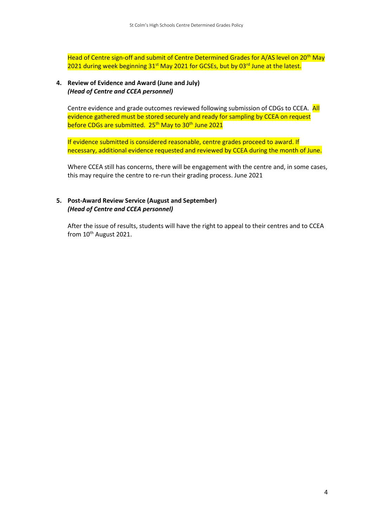Head of Centre sign-off and submit of Centre Determined Grades for A/AS level on 20<sup>th</sup> May 2021 during week beginning 31<sup>st</sup> May 2021 for GCSEs, but by 03<sup>rd</sup> June at the latest.

#### **4. Review of Evidence and Award (June and July)** *(Head of Centre and CCEA personnel)*

Centre evidence and grade outcomes reviewed following submission of CDGs to CCEA. All evidence gathered must be stored securely and ready for sampling by CCEA on request before CDGs are submitted. 25<sup>th</sup> May to 30<sup>th</sup> June 2021

If evidence submitted is considered reasonable, centre grades proceed to award. If necessary, additional evidence requested and reviewed by CCEA during the month of June.

Where CCEA still has concerns, there will be engagement with the centre and, in some cases, this may require the centre to re-run their grading process. June 2021

#### **5. Post-Award Review Service (August and September)** *(Head of Centre and CCEA personnel)*

After the issue of results, students will have the right to appeal to their centres and to CCEA from 10<sup>th</sup> August 2021.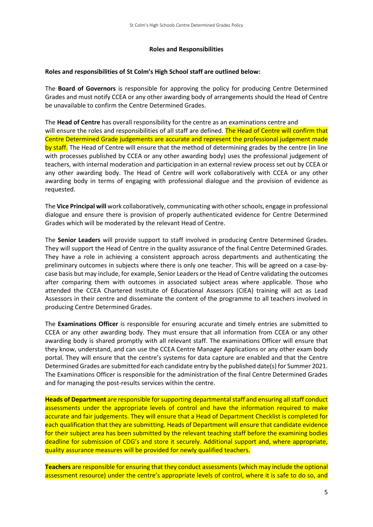#### **Roles and Responsibilities**

#### **Roles and responsibilities of St Colm's High School staff are outlined below:**

The **Board of Governors** is responsible for approving the policy for producing Centre Determined Grades and must notify CCEA or any other awarding body of arrangements should the Head of Centre be unavailable to confirm the Centre Determined Grades.

The **Head of Centre** has overall responsibility for the centre as an examinations centre and will ensure the roles and responsibilities of all staff are defined. The Head of Centre will confirm that Centre Determined Grade judgements are accurate and represent the professional judgement made by staff. The Head of Centre will ensure that the method of determining grades by the centre (in line with processes published by CCEA or any other awarding body) uses the professional judgement of teachers, with internal moderation and participation in an external review process set out by CCEA or any other awarding body. The Head of Centre will work collaboratively with CCEA or any other awarding body in terms of engaging with professional dialogue and the provision of evidence as requested.

The **Vice Principal will** work collaboratively, communicating with other schools, engage in professional dialogue and ensure there is provision of properly authenticated evidence for Centre Determined Grades which will be moderated by the relevant Head of Centre.

The **Senior Leaders** will provide support to staff involved in producing Centre Determined Grades. They will support the Head of Centre in the quality assurance of the final Centre Determined Grades. They have a role in achieving a consistent approach across departments and authenticating the preliminary outcomes in subjects where there is only one teacher. This will be agreed on a case-bycase basis but may include, for example, Senior Leaders or the Head of Centre validating the outcomes after comparing them with outcomes in associated subject areas where applicable. Those who attended the CCEA Chartered Institute of Educational Assessors (CIEA) training will act as Lead Assessors in their centre and disseminate the content of the programme to all teachers involved in producing Centre Determined Grades.

The **Examinations Officer** is responsible for ensuring accurate and timely entries are submitted to CCEA or any other awarding body. They must ensure that all information from CCEA or any other awarding body is shared promptly with all relevant staff. The examinations Officer will ensure that they know, understand, and can use the CCEA Centre Manager Applications or any other exam body portal. They will ensure that the centre's systems for data capture are enabled and that the Centre Determined Grades are submitted for each candidate entry by the published date(s) for Summer 2021. The Examinations Officer is responsible for the administration of the final Centre Determined Grades and for managing the post-results services within the centre.

**Heads of Department** are responsible for supporting departmental staff and ensuring all staff conduct assessments under the appropriate levels of control and have the information required to make accurate and fair judgements. They will ensure that a Head of Department Checklist is completed for each qualification that they are submitting. Heads of Department will ensure that candidate evidence for their subject area has been submitted by the relevant teaching staff before the examining bodies deadline for submission of CDG's and store it securely. Additional support and, where appropriate, quality assurance measures will be provided for newly qualified teachers.

**Teachers** are responsible for ensuring that they conduct assessments (which may include the optional assessment resource) under the centre's appropriate levels of control, where it is safe to do so, and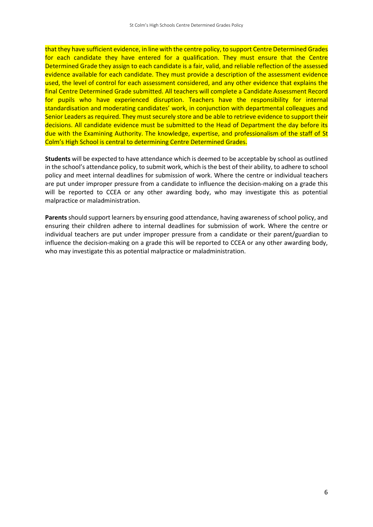that they have sufficient evidence, in line with the centre policy, to support Centre Determined Grades for each candidate they have entered for a qualification. They must ensure that the Centre Determined Grade they assign to each candidate is a fair, valid, and reliable reflection of the assessed evidence available for each candidate. They must provide a description of the assessment evidence used, the level of control for each assessment considered, and any other evidence that explains the final Centre Determined Grade submitted. All teachers will complete a Candidate Assessment Record for pupils who have experienced disruption. Teachers have the responsibility for internal standardisation and moderating candidates' work, in conjunction with departmental colleagues and Senior Leaders as required. They must securely store and be able to retrieve evidence to support their decisions. All candidate evidence must be submitted to the Head of Department the day before its due with the Examining Authority. The knowledge, expertise, and professionalism of the staff of St Colm's High School is central to determining Centre Determined Grades.

**Students** will be expected to have attendance which is deemed to be acceptable by school as outlined in the school's attendance policy, to submit work, which is the best of their ability, to adhere to school policy and meet internal deadlines for submission of work. Where the centre or individual teachers are put under improper pressure from a candidate to influence the decision-making on a grade this will be reported to CCEA or any other awarding body, who may investigate this as potential malpractice or maladministration.

**Parents** should support learners by ensuring good attendance, having awareness of school policy, and ensuring their children adhere to internal deadlines for submission of work. Where the centre or individual teachers are put under improper pressure from a candidate or their parent/guardian to influence the decision-making on a grade this will be reported to CCEA or any other awarding body, who may investigate this as potential malpractice or maladministration.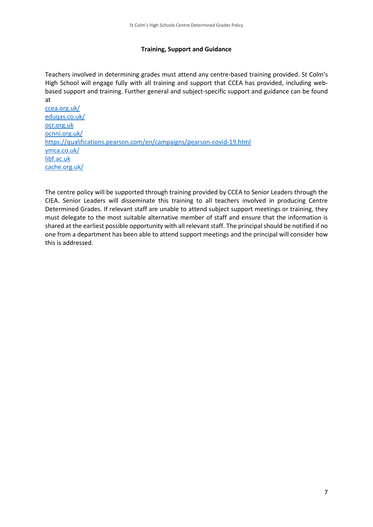#### **Training, Support and Guidance**

Teachers involved in determining grades must attend any centre-based training provided. St Colm's High School will engage fully with all training and support that CCEA has provided, including webbased support and training. Further general and subject-specific support and guidance can be found at

[ccea.org.uk/](https://ccea.org.uk/) [eduqas.co.uk/](https://www.eduqas.co.uk/) [ocr.org.uk](http://www.ocr.org.uk/) [ocnni.org.uk/](https://www.ocnni.org.uk/) <https://qualifications.pearson.com/en/campaigns/pearson-covid-19.html> [ymca.co.uk/](https://www.ymca.co.uk/) [libf.ac.uk](http://www.libf.ac.uk/) [cache.org.uk/](https://www.cache.org.uk/)

The centre policy will be supported through training provided by CCEA to Senior Leaders through the CIEA. Senior Leaders will disseminate this training to all teachers involved in producing Centre Determined Grades. If relevant staff are unable to attend subject support meetings or training, they must delegate to the most suitable alternative member of staff and ensure that the information is shared at the earliest possible opportunity with all relevant staff. The principal should be notified if no one from a department has been able to attend support meetings and the principal will consider how this is addressed.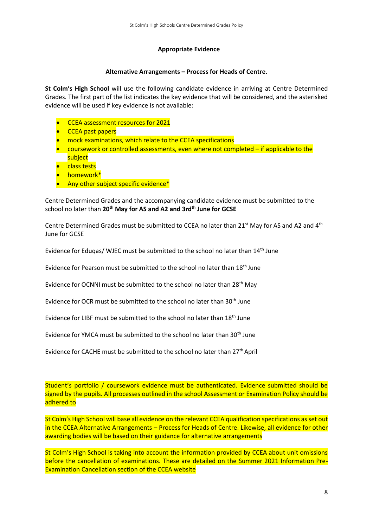#### **Appropriate Evidence**

#### **Alternative Arrangements – Process for Heads of Centre**.

**St Colm's High School** will use the following candidate evidence in arriving at Centre Determined Grades. The first part of the list indicates the key evidence that will be considered, and the asterisked evidence will be used if key evidence is not available:

- CCEA assessment resources for 2021
- CCEA past papers
- mock examinations, which relate to the CCEA specifications
- coursework or controlled assessments, even where not completed if applicable to the subject
- **•** class tests
- homework\*
- Any other subject specific evidence\*

Centre Determined Grades and the accompanying candidate evidence must be submitted to the school no later than **20th May for AS and A2 and 3rdth June for GCSE**

Centre Determined Grades must be submitted to CCEA no later than 21<sup>st</sup> May for AS and A2 and 4<sup>th</sup> June for GCSE

Evidence for Eduqas/ WJEC must be submitted to the school no later than 14th June

Evidence for Pearson must be submitted to the school no later than 18<sup>th</sup> June

Evidence for OCNNI must be submitted to the school no later than 28<sup>th</sup> Mav

Evidence for OCR must be submitted to the school no later than 30<sup>th</sup> June

Evidence for LIBF must be submitted to the school no later than 18<sup>th</sup> June

Evidence for YMCA must be submitted to the school no later than 30<sup>th</sup> June

Evidence for CACHE must be submitted to the school no later than 27<sup>th</sup> April

Student's portfolio / coursework evidence must be authenticated. Evidence submitted should be signed by the pupils. All processes outlined in the school Assessment or Examination Policy should be adhered to

St Colm's High School will base all evidence on the relevant CCEA qualification specifications as set out in the CCEA Alternative Arrangements – Process for Heads of Centre. Likewise, all evidence for other awarding bodies will be based on their guidance for alternative arrangements

St Colm's High School is taking into account the information provided by CCEA about unit omissions before the cancellation of examinations. These are detailed on the Summer 2021 Information Pre-Examination Cancellation section of the CCEA website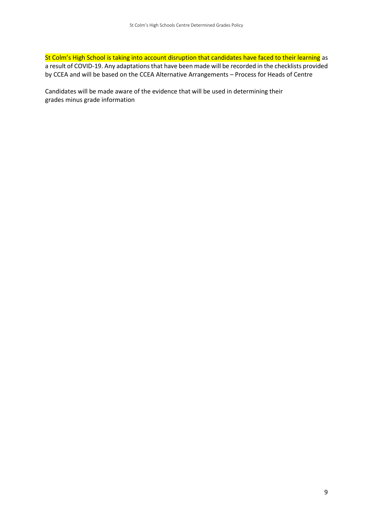St Colm's High School is taking into account disruption that candidates have faced to their learning as a result of COVID-19. Any adaptations that have been made will be recorded in the checklists provided by CCEA and will be based on the CCEA Alternative Arrangements – Process for Heads of Centre

Candidates will be made aware of the evidence that will be used in determining their grades minus grade information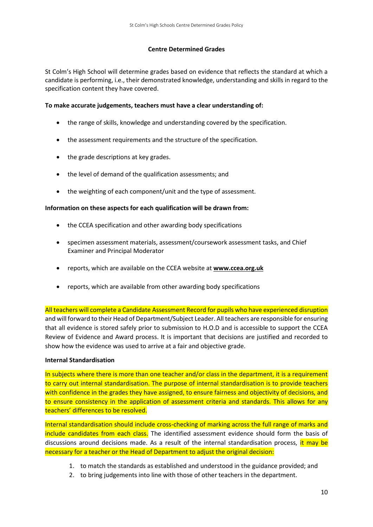#### **Centre Determined Grades**

St Colm's High School will determine grades based on evidence that reflects the standard at which a candidate is performing, i.e., their demonstrated knowledge, understanding and skills in regard to the specification content they have covered.

#### **To make accurate judgements, teachers must have a clear understanding of:**

- the range of skills, knowledge and understanding covered by the specification.
- the assessment requirements and the structure of the specification.
- the grade descriptions at key grades.
- the level of demand of the qualification assessments; and
- the weighting of each component/unit and the type of assessment.

#### **Information on these aspects for each qualification will be drawn from:**

- the CCEA specification and other awarding body specifications
- specimen assessment materials, assessment/coursework assessment tasks, and Chief Examiner and Principal Moderator
- reports, which are available on the CCEA website at **[www.ccea.org.uk](http://www.ccea.org.uk/)**
- reports, which are available from other awarding body specifications

All teachers will complete a Candidate Assessment Record for pupils who have experienced disruption and will forward to their Head of Department/Subject Leader. All teachers are responsible for ensuring that all evidence is stored safely prior to submission to H.O.D and is accessible to support the CCEA Review of Evidence and Award process. It is important that decisions are justified and recorded to show how the evidence was used to arrive at a fair and objective grade.

#### **Internal Standardisation**

In subjects where there is more than one teacher and/or class in the department, it is a requirement to carry out internal standardisation. The purpose of internal standardisation is to provide teachers with confidence in the grades they have assigned, to ensure fairness and objectivity of decisions, and to ensure consistency in the application of assessment criteria and standards. This allows for any teachers' differences to be resolved.

Internal standardisation should include cross-checking of marking across the full range of marks and include candidates from each class. The identified assessment evidence should form the basis of discussions around decisions made. As a result of the internal standardisation process, it may be necessary for a teacher or the Head of Department to adjust the original decision:

- 1. to match the standards as established and understood in the guidance provided; and
- 2. to bring judgements into line with those of other teachers in the department.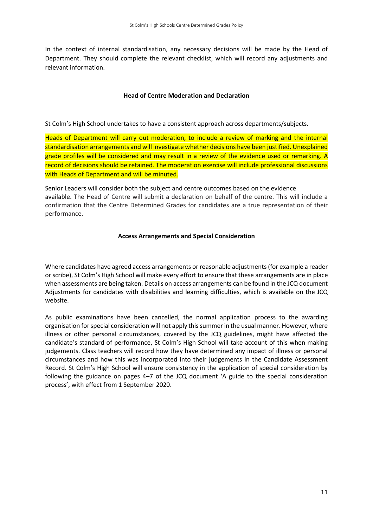In the context of internal standardisation, any necessary decisions will be made by the Head of Department. They should complete the relevant checklist, which will record any adjustments and relevant information.

#### **Head of Centre Moderation and Declaration**

St Colm's High School undertakes to have a consistent approach across departments/subjects.

Heads of Department will carry out moderation, to include a review of marking and the internal standardisation arrangements and will investigate whether decisions have been justified. Unexplained grade profiles will be considered and may result in a review of the evidence used or remarking. A record of decisions should be retained. The moderation exercise will include professional discussions with Heads of Department and will be minuted.

Senior Leaders will consider both the subject and centre outcomes based on the evidence available. The Head of Centre will submit a declaration on behalf of the centre. This will include a confirmation that the Centre Determined Grades for candidates are a true representation of their performance.

#### **Access Arrangements and Special Consideration**

Where candidates have agreed access arrangements or reasonable adjustments (for example a reader or scribe), St Colm's High School will make every effort to ensure that these arrangements are in place when assessments are being taken. Details on access arrangements can be found in the JCQ document Adjustments for candidates with disabilities and learning difficulties, which is available on the JCQ website.

As public examinations have been cancelled, the normal application process to the awarding organisation for special consideration will not apply this summer in the usual manner. However, where illness or other personal circumstances, covered by the JCQ guidelines, might have affected the candidate's standard of performance, St Colm's High School will take account of this when making judgements. Class teachers will record how they have determined any impact of illness or personal circumstances and how this was incorporated into their judgements in the Candidate Assessment Record. St Colm's High School will ensure consistency in the application of special consideration by following the guidance on pages 4–7 of the JCQ document 'A guide to the special consideration process', with effect from 1 September 2020.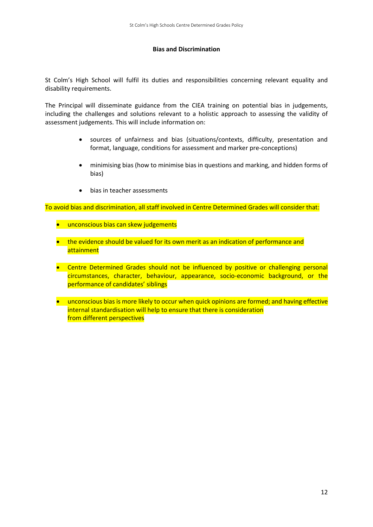#### **Bias and Discrimination**

St Colm's High School will fulfil its duties and responsibilities concerning relevant equality and disability requirements.

The Principal will disseminate guidance from the CIEA training on potential bias in judgements, including the challenges and solutions relevant to a holistic approach to assessing the validity of assessment judgements. This will include information on:

- sources of unfairness and bias (situations/contexts, difficulty, presentation and format, language, conditions for assessment and marker pre-conceptions)
- minimising bias (how to minimise bias in questions and marking, and hidden forms of bias)
- bias in teacher assessments

To avoid bias and discrimination, all staff involved in Centre Determined Grades will consider that:

- unconscious bias can skew judgements
- the evidence should be valued for its own merit as an indication of performance and attainment
- Centre Determined Grades should not be influenced by positive or challenging personal circumstances, character, behaviour, appearance, socio-economic background, or the performance of candidates' siblings
- unconscious bias is more likely to occur when quick opinions are formed; and having effective internal standardisation will help to ensure that there is consideration from different perspectives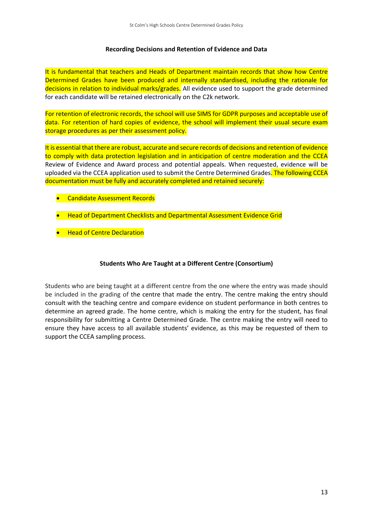#### **Recording Decisions and Retention of Evidence and Data**

It is fundamental that teachers and Heads of Department maintain records that show how Centre Determined Grades have been produced and internally standardised, including the rationale for decisions in relation to individual marks/grades. All evidence used to support the grade determined for each candidate will be retained electronically on the C2k network.

For retention of electronic records, the school will use SIMS for GDPR purposes and acceptable use of data. For retention of hard copies of evidence, the school will implement their usual secure exam storage procedures as per their assessment policy.

It is essential that there are robust, accurate and secure records of decisions and retention of evidence to comply with data protection legislation and in anticipation of centre moderation and the CCEA Review of Evidence and Award process and potential appeals. When requested, evidence will be uploaded via the CCEA application used to submit the Centre Determined Grades. The following CCEA documentation must be fully and accurately completed and retained securely:

- Candidate Assessment Records
- Head of Department Checklists and Departmental Assessment Evidence Grid
- **•** Head of Centre Declaration

#### **Students Who Are Taught at a Different Centre (Consortium)**

Students who are being taught at a different centre from the one where the entry was made should be included in the grading of the centre that made the entry. The centre making the entry should consult with the teaching centre and compare evidence on student performance in both centres to determine an agreed grade. The home centre, which is making the entry for the student, has final responsibility for submitting a Centre Determined Grade. The centre making the entry will need to ensure they have access to all available students' evidence, as this may be requested of them to support the CCEA sampling process.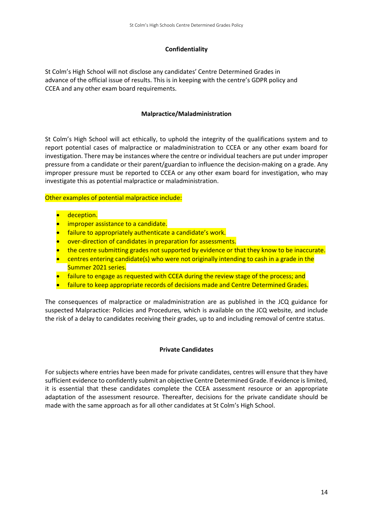#### **Confidentiality**

St Colm's High School will not disclose any candidates' Centre Determined Grades in advance of the official issue of results. This is in keeping with the centre's GDPR policy and CCEA and any other exam board requirements.

#### **Malpractice/Maladministration**

St Colm's High School will act ethically, to uphold the integrity of the qualifications system and to report potential cases of malpractice or maladministration to CCEA or any other exam board for investigation. There may be instances where the centre or individual teachers are put under improper pressure from a candidate or their parent/guardian to influence the decision-making on a grade. Any improper pressure must be reported to CCEA or any other exam board for investigation, who may investigate this as potential malpractice or maladministration.

Other examples of potential malpractice include:

- deception.
- **•** improper assistance to a candidate.
- failure to appropriately authenticate a candidate's work.
- over-direction of candidates in preparation for assessments.
- the centre submitting grades not supported by evidence or that they know to be inaccurate.
- centres entering candidate(s) who were not originally intending to cash in a grade in the Summer 2021 series.
- failure to engage as requested with CCEA during the review stage of the process; and
- failure to keep appropriate records of decisions made and Centre Determined Grades.

The consequences of malpractice or maladministration are as published in the JCQ guidance for suspected Malpractice: Policies and Procedures*,* which is available on the JCQ website, and include the risk of a delay to candidates receiving their grades, up to and including removal of centre status.

#### **Private Candidates**

For subjects where entries have been made for private candidates, centres will ensure that they have sufficient evidence to confidently submit an objective Centre Determined Grade. If evidence is limited, it is essential that these candidates complete the CCEA assessment resource or an appropriate adaptation of the assessment resource. Thereafter, decisions for the private candidate should be made with the same approach as for all other candidates at St Colm's High School.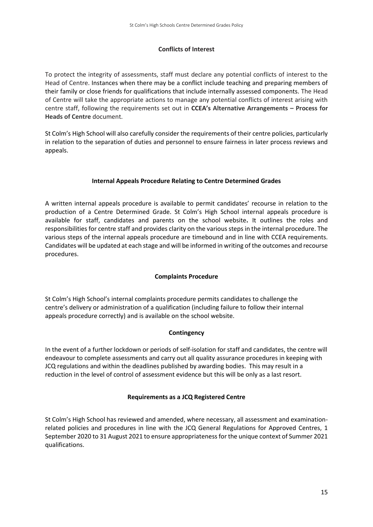### **Conflicts of Interest**

To protect the integrity of assessments, staff must declare any potential conflicts of interest to the Head of Centre. Instances when there may be a conflict include teaching and preparing members of their family or close friends for qualifications that include internally assessed components. The Head of Centre will take the appropriate actions to manage any potential conflicts of interest arising with centre staff, following the requirements set out in **CCEA's Alternative Arrangements – Process for Heads of Centre** document.

St Colm's High School will also carefully consider the requirements of their centre policies, particularly in relation to the separation of duties and personnel to ensure fairness in later process reviews and appeals.

### **Internal Appeals Procedure Relating to Centre Determined Grades**

A written internal appeals procedure is available to permit candidates' recourse in relation to the production of a Centre Determined Grade. St Colm's High School internal appeals procedure is available for staff, candidates and parents on the school website**.** It outlines the roles and responsibilities for centre staff and provides clarity on the various steps in the internal procedure. The various steps of the internal appeals procedure are timebound and in line with CCEA requirements. Candidates will be updated at each stage and will be informed in writing of the outcomes and recourse procedures.

### **Complaints Procedure**

St Colm's High School's internal complaints procedure permits candidates to challenge the centre's delivery or administration of a qualification (including failure to follow their internal appeals procedure correctly) and is available on the school website.

### **Contingency**

In the event of a further lockdown or periods of self-isolation for staff and candidates, the centre will endeavour to complete assessments and carry out all quality assurance procedures in keeping with JCQ regulations and within the deadlines published by awarding bodies. This may result in a reduction in the level of control of assessment evidence but this will be only as a last resort.

### **Requirements as a JCQ Registered Centre**

St Colm's High School has reviewed and amended, where necessary, all assessment and examinationrelated policies and procedures in line with the JCQ General Regulations for Approved Centres, 1 September 2020 to 31 August 2021 to ensure appropriateness for the unique context of Summer 2021 qualifications.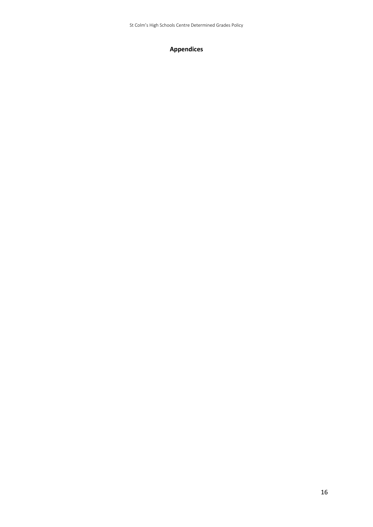St Colm's High Schools Centre Determined Grades Policy

## **Appendices**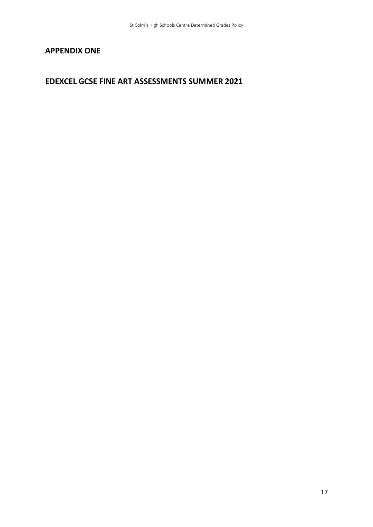## **APPENDIX ONE**

## **EDEXCEL GCSE FINE ART ASSESSMENTS SUMMER 2021**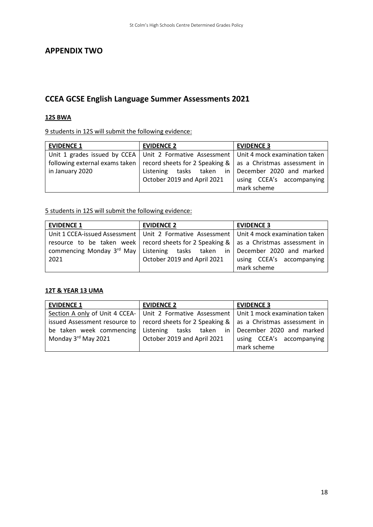## **APPENDIX TWO**

## **CCEA GCSE English Language Summer Assessments 2021**

#### **12S BWA**

9 students in 12S will submit the following evidence:

| <b>EVIDENCE 1</b> | <b>EVIDENCE 2</b>                                                                                 | <b>EVIDENCE 3</b>             |
|-------------------|---------------------------------------------------------------------------------------------------|-------------------------------|
|                   | Unit 1 grades issued by CCEA   Unit 2 Formative Assessment   Unit 4 mock examination taken        |                               |
|                   | following external exams taken   record sheets for 2 Speaking $\&$   as a Christmas assessment in |                               |
| in January 2020   | tasks taken<br>Listening                                                                          | in   December 2020 and marked |
|                   | October 2019 and April 2021                                                                       | using CCEA's accompanying     |
|                   |                                                                                                   | mark scheme                   |

5 students in 12S will submit the following evidence:

| <b>EVIDENCE 1</b>                                      | <b>EVIDENCE 2</b>                                                                            | <b>EVIDENCE 3</b>         |
|--------------------------------------------------------|----------------------------------------------------------------------------------------------|---------------------------|
|                                                        | Unit 1 CCEA-issued Assessment   Unit 2 Formative Assessment   Unit 4 mock examination taken  |                           |
|                                                        | resource to be taken week   record sheets for 2 Speaking $\&$   as a Christmas assessment in |                           |
| commencing Monday $3^{rd}$ May   Listening tasks taken | in                                                                                           | December 2020 and marked  |
| 2021                                                   | October 2019 and April 2021                                                                  | using CCEA's accompanying |
|                                                        |                                                                                              | mark scheme               |

## **12T & YEAR 13 UMA**

| <b>EVIDENCE 1</b>   | <b>EVIDENCE 2</b>                                                                             | <b>EVIDENCE 3</b>         |
|---------------------|-----------------------------------------------------------------------------------------------|---------------------------|
|                     | Section A only of Unit 4 CCEA- Unit 2 Formative Assessment   Unit 1 mock examination taken    |                           |
|                     | issued Assessment resource to   record sheets for 2 Speaking &   as a Christmas assessment in |                           |
|                     | be taken week commencing Listening tasks taken in                                             | December 2020 and marked  |
| Monday 3rd May 2021 | October 2019 and April 2021                                                                   | using CCEA's accompanying |
|                     |                                                                                               | mark scheme               |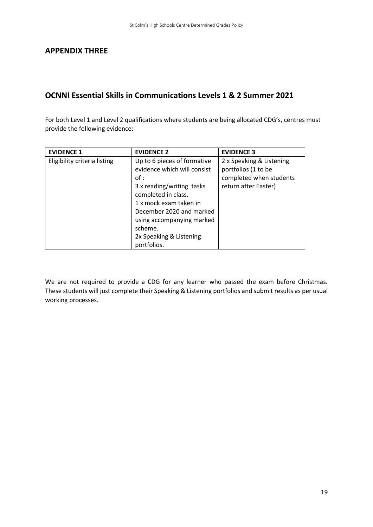## **OCNNI Essential Skills in Communications Levels 1 & 2 Summer 2021**

For both Level 1 and Level 2 qualifications where students are being allocated CDG's, centres must provide the following evidence:

| <b>EVIDENCE 1</b>            | <b>EVIDENCE 2</b>           | <b>EVIDENCE 3</b>        |
|------------------------------|-----------------------------|--------------------------|
| Eligibility criteria listing | Up to 6 pieces of formative | 2 x Speaking & Listening |
|                              | evidence which will consist | portfolios (1 to be      |
|                              | of:                         | completed when students  |
|                              | 3 x reading/writing tasks   | return after Easter)     |
|                              | completed in class.         |                          |
|                              | 1 x mock exam taken in      |                          |
|                              | December 2020 and marked    |                          |
|                              | using accompanying marked   |                          |
|                              | scheme.                     |                          |
|                              | 2x Speaking & Listening     |                          |
|                              | portfolios.                 |                          |

We are not required to provide a CDG for any learner who passed the exam before Christmas. These students will just complete their Speaking & Listening portfolios and submit results as per usual working processes.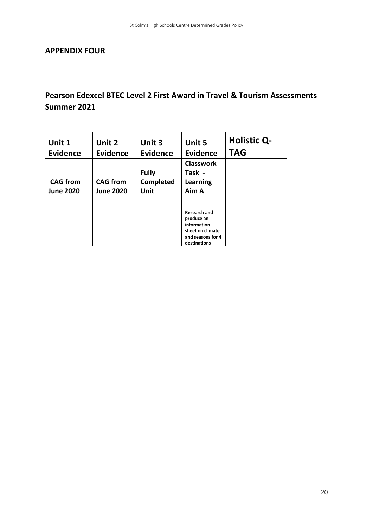## **APPENDIX FOUR**

# **Pearson Edexcel BTEC Level 2 First Award in Travel & Tourism Assessments Summer 2021**

| Unit 1<br><b>Evidence</b> | Unit 2<br><b>Evidence</b> | Unit 3<br><b>Evidence</b> | Unit 5<br><b>Evidence</b> | <b>Holistic Q-</b><br><b>TAG</b> |
|---------------------------|---------------------------|---------------------------|---------------------------|----------------------------------|
|                           |                           |                           | <b>Classwork</b>          |                                  |
|                           |                           | <b>Fully</b>              | Task -                    |                                  |
| <b>CAG</b> from           | <b>CAG</b> from           | Completed                 | <b>Learning</b>           |                                  |
| <b>June 2020</b>          | <b>June 2020</b>          | Unit                      | Aim A                     |                                  |
|                           |                           |                           |                           |                                  |
|                           |                           |                           | <b>Research and</b>       |                                  |
|                           |                           |                           | produce an<br>information |                                  |
|                           |                           |                           | sheet on climate          |                                  |
|                           |                           |                           | and seasons for 4         |                                  |
|                           |                           |                           | destinations              |                                  |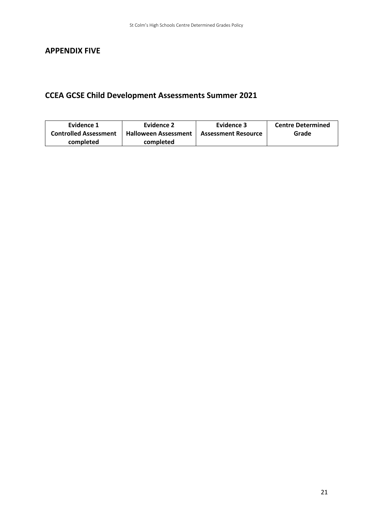## **APPENDIX FIVE**

# **CCEA GCSE Child Development Assessments Summer 2021**

| Evidence 1                   | Evidence 2                  | Evidence 3                 | <b>Centre Determined</b> |
|------------------------------|-----------------------------|----------------------------|--------------------------|
| <b>Controlled Assessment</b> | <b>Halloween Assessment</b> | <b>Assessment Resource</b> | Grade                    |
| completed                    | completed                   |                            |                          |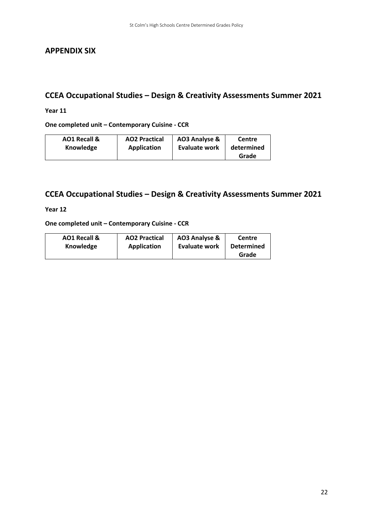## **APPENDIX SIX**

# **CCEA Occupational Studies – Design & Creativity Assessments Summer 2021**

### **Year 11**

**One completed unit – Contemporary Cuisine - CCR**

| AO1 Recall & | <b>AO2 Practical</b> | AO3 Analyse &        | Centre     |
|--------------|----------------------|----------------------|------------|
| Knowledge    | Application          | <b>Evaluate work</b> | determined |
|              |                      |                      | Grade      |

## **CCEA Occupational Studies – Design & Creativity Assessments Summer 2021**

**Year 12**

**One completed unit – Contemporary Cuisine - CCR**

| <b>AO1 Recall &amp;</b> | <b>AO2 Practical</b> | AO3 Analyse & | Centre            |
|-------------------------|----------------------|---------------|-------------------|
| Knowledge               | Application          | Evaluate work | <b>Determined</b> |
|                         |                      |               | Grade             |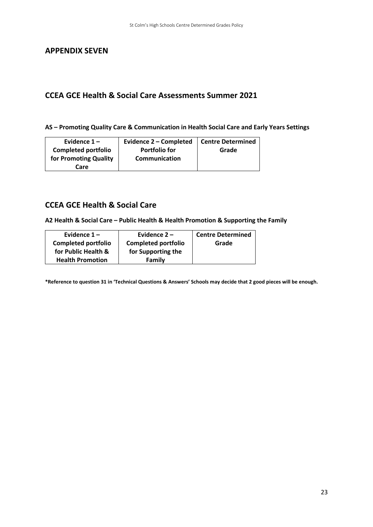## **APPENDIX SEVEN**

## **CCEA GCE Health & Social Care Assessments Summer 2021**

**AS – Promoting Quality Care & Communication in Health Social Care and Early Years Settings** 

| Evidence $1 -$             | Evidence 2 - Completed | <b>Centre Determined</b> |
|----------------------------|------------------------|--------------------------|
| <b>Completed portfolio</b> | <b>Portfolio for</b>   | Grade                    |
| for Promoting Quality      | Communication          |                          |
| Care                       |                        |                          |

## **CCEA GCE Health & Social Care**

**A2 Health & Social Care – Public Health & Health Promotion & Supporting the Family** 

| Evidence $1 -$             | Evidence $2 -$             | <b>Centre Determined</b> |
|----------------------------|----------------------------|--------------------------|
| <b>Completed portfolio</b> | <b>Completed portfolio</b> | Grade                    |
| for Public Health &        | for Supporting the         |                          |
| <b>Health Promotion</b>    | Family                     |                          |
|                            |                            |                          |

**\*Reference to question 31 in 'Technical Questions & Answers' Schools may decide that 2 good pieces will be enough.**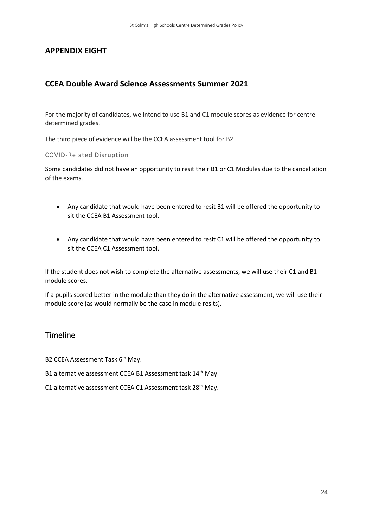## **APPENDIX EIGHT**

## **CCEA Double Award Science Assessments Summer 2021**

For the majority of candidates, we intend to use B1 and C1 module scores as evidence for centre determined grades.

The third piece of evidence will be the CCEA assessment tool for B2.

#### COVID-Related Disruption

Some candidates did not have an opportunity to resit their B1 or C1 Modules due to the cancellation of the exams.

- Any candidate that would have been entered to resit B1 will be offered the opportunity to sit the CCEA B1 Assessment tool.
- Any candidate that would have been entered to resit C1 will be offered the opportunity to sit the CCEA C1 Assessment tool.

If the student does not wish to complete the alternative assessments, we will use their C1 and B1 module scores.

If a pupils scored better in the module than they do in the alternative assessment, we will use their module score (as would normally be the case in module resits).

## Timeline

B2 CCEA Assessment Task 6<sup>th</sup> May.

- B1 alternative assessment CCEA B1 Assessment task 14<sup>th</sup> May.
- C1 alternative assessment CCEA C1 Assessment task 28<sup>th</sup> May.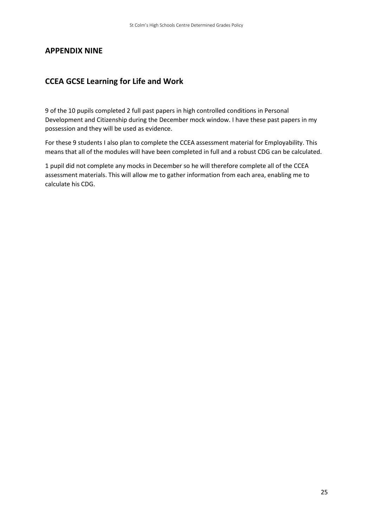## **APPENDIX NINE**

## **CCEA GCSE Learning for Life and Work**

9 of the 10 pupils completed 2 full past papers in high controlled conditions in Personal Development and Citizenship during the December mock window. I have these past papers in my possession and they will be used as evidence.

For these 9 students I also plan to complete the CCEA assessment material for Employability. This means that all of the modules will have been completed in full and a robust CDG can be calculated.

1 pupil did not complete any mocks in December so he will therefore complete all of the CCEA assessment materials. This will allow me to gather information from each area, enabling me to calculate his CDG.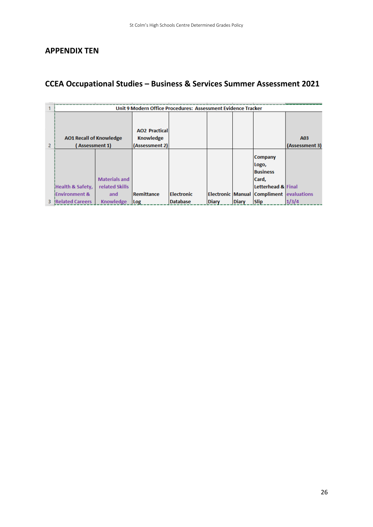## **APPENDIX TEN**

# **CCEA Occupational Studies – Business & Services Summer Assessment 2021**

|                |                                |                      | Unit 9 Modern Office Procedures: Assessment Evidence Tracker |                 |              |              |                                                 |                |
|----------------|--------------------------------|----------------------|--------------------------------------------------------------|-----------------|--------------|--------------|-------------------------------------------------|----------------|
|                |                                |                      |                                                              |                 |              |              |                                                 |                |
|                |                                |                      |                                                              |                 |              |              |                                                 |                |
|                |                                |                      | <b>AO2 Practical</b>                                         |                 |              |              |                                                 |                |
|                | <b>AO1 Recall of Knowledge</b> |                      | <b>Knowledge</b>                                             |                 |              |              |                                                 | A03            |
| $\overline{2}$ | (Assessment 1)                 |                      | (Assessment 2)                                               |                 |              |              |                                                 | (Assessment 3) |
|                |                                |                      |                                                              |                 |              |              |                                                 |                |
|                |                                |                      |                                                              |                 |              |              | <b>Company</b>                                  |                |
|                |                                |                      |                                                              |                 |              |              | Logo,                                           |                |
|                |                                |                      |                                                              |                 |              |              | <b>Business</b>                                 |                |
|                |                                | <b>Materials and</b> |                                                              |                 |              |              | Card,                                           |                |
|                | Health & Safety,               | related Skills       |                                                              |                 |              |              | Letterhead & Final                              |                |
|                | <b>Environment &amp;</b>       | and                  | Remittance                                                   | Electronic      |              |              | <b>Electronic Manual Compliment evaluations</b> |                |
| з.             | <b>Related Careers</b>         | Knowledge            | Log                                                          | <b>Database</b> | <b>Diary</b> | <b>Diary</b> | <b>Slip</b>                                     | 1/3/4          |
|                |                                |                      |                                                              |                 |              |              |                                                 |                |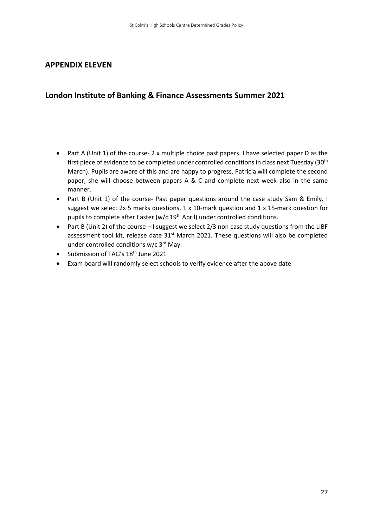## **APPENDIX ELEVEN**

## **London Institute of Banking & Finance Assessments Summer 2021**

- Part A (Unit 1) of the course- 2 x multiple choice past papers. I have selected paper D as the first piece of evidence to be completed under controlled conditions in class next Tuesday (30<sup>th</sup>) March). Pupils are aware of this and are happy to progress. Patricia will complete the second paper, she will choose between papers A & C and complete next week also in the same manner.
- Part B (Unit 1) of the course- Past paper questions around the case study Sam & Emily. I suggest we select 2x 5 marks questions, 1 x 10-mark question and 1 x 15-mark question for pupils to complete after Easter (w/c 19<sup>th</sup> April) under controlled conditions.
- Part B (Unit 2) of the course I suggest we select 2/3 non case study questions from the LIBF assessment tool kit, release date 31<sup>st</sup> March 2021. These questions will also be completed under controlled conditions w/c 3rd May.
- Submission of TAG's 18<sup>th</sup> June 2021
- Exam board will randomly select schools to verify evidence after the above date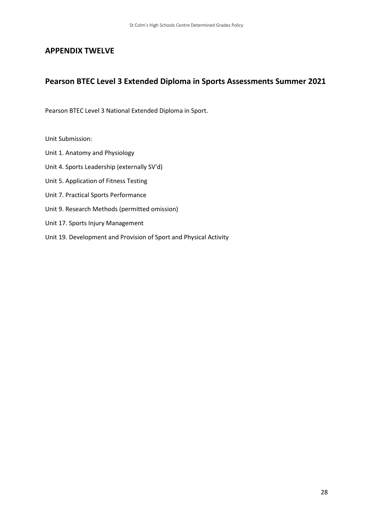## **APPENDIX TWELVE**

## **Pearson BTEC Level 3 Extended Diploma in Sports Assessments Summer 2021**

Pearson BTEC Level 3 National Extended Diploma in Sport.

Unit Submission:

- Unit 1. Anatomy and Physiology
- Unit 4. Sports Leadership (externally SV'd)
- Unit 5. Application of Fitness Testing
- Unit 7. Practical Sports Performance
- Unit 9. Research Methods (permitted omission)
- Unit 17. Sports Injury Management
- Unit 19. Development and Provision of Sport and Physical Activity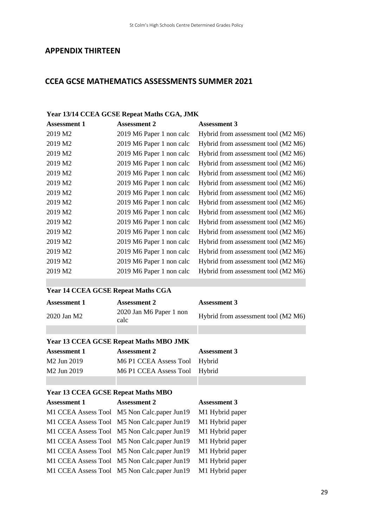## **APPENDIX THIRTEEN**

## **CCEA GCSE MATHEMATICS ASSESSMENTS SUMMER 2021**

#### **Year 13/14 CCEA GCSE Repeat Maths CGA, JMK**

| <b>Assessment 1</b> | <b>Assessment 2</b>      | <b>Assessment 3</b>                 |
|---------------------|--------------------------|-------------------------------------|
| 2019 M2             | 2019 M6 Paper 1 non calc | Hybrid from assessment tool (M2 M6) |
| 2019 M2             | 2019 M6 Paper 1 non calc | Hybrid from assessment tool (M2 M6) |
| 2019 M2             | 2019 M6 Paper 1 non calc | Hybrid from assessment tool (M2 M6) |
| 2019 M2             | 2019 M6 Paper 1 non calc | Hybrid from assessment tool (M2 M6) |
| 2019 M2             | 2019 M6 Paper 1 non calc | Hybrid from assessment tool (M2 M6) |
| 2019 M2             | 2019 M6 Paper 1 non calc | Hybrid from assessment tool (M2 M6) |
| 2019 M2             | 2019 M6 Paper 1 non calc | Hybrid from assessment tool (M2 M6) |
| 2019 M2             | 2019 M6 Paper 1 non calc | Hybrid from assessment tool (M2 M6) |
| 2019 M2             | 2019 M6 Paper 1 non calc | Hybrid from assessment tool (M2 M6) |
| 2019 M2             | 2019 M6 Paper 1 non calc | Hybrid from assessment tool (M2 M6) |
| 2019 M2             | 2019 M6 Paper 1 non calc | Hybrid from assessment tool (M2 M6) |
| 2019 M2             | 2019 M6 Paper 1 non calc | Hybrid from assessment tool (M2 M6) |
| 2019 M2             | 2019 M6 Paper 1 non calc | Hybrid from assessment tool (M2 M6) |
| 2019 M2             | 2019 M6 Paper 1 non calc | Hybrid from assessment tool (M2 M6) |
| 2019 M2             | 2019 M6 Paper 1 non calc | Hybrid from assessment tool (M2 M6) |
|                     |                          |                                     |

# **Year 14 CCEA GCSE Repeat Maths CGA Assessment 1 Assessment 2 Assessment 3** 2020 Jan M2 2020 Jan M6 Paper 1 non Hybrid from assessment tool (M2 M6) **Year 13 CCEA GCSE Repeat Maths MBO JMK Assessment 1 Assessment 2 Assessment 3** M2 Jun 2019 M6 P1 CCEA Assess Tool Hybrid M2 Jun 2019 M6 P1 CCEA Assess Tool Hybrid **Year 13 CCEA GCSE Repeat Maths MBO Assessment 1 Assessment 2 Assessment 3** M1 CCEA Assess Tool M5 Non Calc.paper Jun19 M1 Hybrid paper M1 CCEA Assess Tool M5 Non Calc.paper Jun19 M1 Hybrid paper M1 CCEA Assess Tool M5 Non Calc.paper Jun19 M1 Hybrid paper M1 CCEA Assess Tool M5 Non Calc.paper Jun19 M1 Hybrid paper M1 CCEA Assess Tool M5 Non Calc.paper Jun19 M1 Hybrid paper M1 CCEA Assess Tool M5 Non Calc.paper Jun19 M1 Hybrid paper

M1 CCEA Assess Tool M5 Non Calc.paper Jun19 M1 Hybrid paper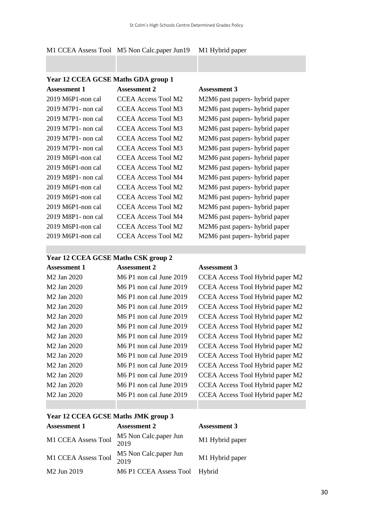|  | M1 CCEA Assess Tool M5 Non Calc.paper Jun19 M1 Hybrid paper |  |
|--|-------------------------------------------------------------|--|
|  |                                                             |  |

| Year 12 CCEA GCSE Maths GDA group 1           |                            |                                |  |
|-----------------------------------------------|----------------------------|--------------------------------|--|
| <b>Assessment 1</b>                           | <b>Assessment 2</b>        | <b>Assessment 3</b>            |  |
| $2019$ M6P1-non cal                           | <b>CCEA Access Tool M2</b> | M2M6 past papers- hybrid paper |  |
| 2019 M7P1- non cal                            | CCEA Access Tool M3        | M2M6 past papers- hybrid paper |  |
| 2019 M7P1- non cal                            | CCEA Access Tool M3        | M2M6 past papers- hybrid paper |  |
| 2019 M7P1- non cal                            | <b>CCEA Access Tool M3</b> | M2M6 past papers- hybrid paper |  |
| 2019 M7P1- non cal                            | CCEA Access Tool M2        | M2M6 past papers- hybrid paper |  |
| 2019 M7P1- non cal                            | CCEA Access Tool M3        | M2M6 past papers- hybrid paper |  |
| $2019$ M6P1-non cal                           | CCEA Access Tool M2        | M2M6 past papers- hybrid paper |  |
| $2019$ M6P1-non cal                           | CCEA Access Tool M2        | M2M6 past papers- hybrid paper |  |
| 2019 M8P1- non cal                            | <b>CCEA Access Tool M4</b> | M2M6 past papers- hybrid paper |  |
| 2019 M6P1-non cal                             | CCEA Access Tool M2        | M2M6 past papers- hybrid paper |  |
| $2019$ M6P1-non cal                           | CCEA Access Tool M2        | M2M6 past papers- hybrid paper |  |
| $2019$ M6P1-non cal                           | CCEA Access Tool M2        | M2M6 past papers- hybrid paper |  |
| 2019 M8P1- non cal                            | CCEA Access Tool M4        | M2M6 past papers- hybrid paper |  |
| $2019$ M <sub>6</sub> P <sub>1</sub> -non cal | <b>CCEA Access Tool M2</b> | M2M6 past papers- hybrid paper |  |
| $2019$ M6P1-non cal                           | CCEA Access Tool M2        | M2M6 past papers- hybrid paper |  |
|                                               |                            |                                |  |

#### **Year 12 CCEA GCSE Maths CSK group 2**

| <b>Assessment 1</b>     | <b>Assessment 2</b>       | <b>Assessment 3</b>              |
|-------------------------|---------------------------|----------------------------------|
| M <sub>2</sub> Jan 2020 | M6 P1 non cal June 2019   | CCEA Access Tool Hybrid paper M2 |
| M2 Jan 2020             | M6 P1 non cal June 2019   | CCEA Access Tool Hybrid paper M2 |
| M2 Jan 2020             | $M6$ P1 non cal June 2019 | CCEA Access Tool Hybrid paper M2 |
| M2 Jan 2020             | M6 P1 non cal June 2019   | CCEA Access Tool Hybrid paper M2 |
| M <sub>2</sub> Jan 2020 | M6 P1 non cal June 2019   | CCEA Access Tool Hybrid paper M2 |
| M <sub>2</sub> Jan 2020 | $M6$ P1 non cal June 2019 | CCEA Access Tool Hybrid paper M2 |
| M2 Jan 2020             | M6 P1 non cal June 2019   | CCEA Access Tool Hybrid paper M2 |
| M <sub>2</sub> Jan 2020 | M6 P1 non cal June 2019   | CCEA Access Tool Hybrid paper M2 |
| M <sub>2</sub> Jan 2020 | M6 P1 non cal June 2019   | CCEA Access Tool Hybrid paper M2 |
| M2 Jan 2020             | M6 P1 non cal June 2019   | CCEA Access Tool Hybrid paper M2 |
| M <sub>2</sub> Jan 2020 | M6 P1 non cal June 2019   | CCEA Access Tool Hybrid paper M2 |
| M <sub>2</sub> Jan 2020 | M6 P1 non cal June 2019   | CCEA Access Tool Hybrid paper M2 |
| M2 Jan 2020             | M6 P1 non cal June 2019   | CCEA Access Tool Hybrid paper M2 |

## **Year 12 CCEA GCSE Maths JMK group 3**

| <b>Assessment 1</b>     | <b>Assessment 2</b>           | <b>Assessment 3</b> |
|-------------------------|-------------------------------|---------------------|
| M1 CCEA Assess Tool     | M5 Non Calc.paper Jun<br>2019 | M1 Hybrid paper     |
| M1 CCEA Assess Tool     | M5 Non Calc.paper Jun<br>2019 | M1 Hybrid paper     |
| M <sub>2</sub> Jun 2019 | M6 P1 CCEA Assess Tool Hybrid |                     |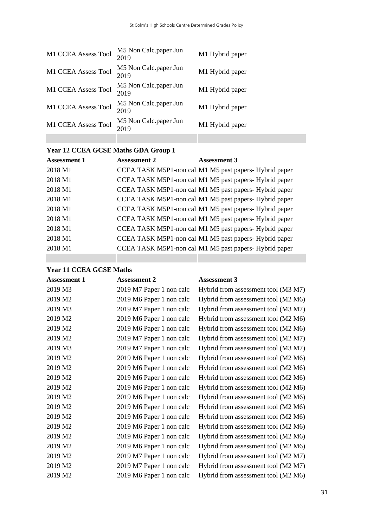| M1 CCEA Assess Tool | M5 Non Calc.paper Jun<br>2019 | M1 Hybrid paper |
|---------------------|-------------------------------|-----------------|
| M1 CCEA Assess Tool | M5 Non Calc.paper Jun<br>2019 | M1 Hybrid paper |
| M1 CCEA Assess Tool | M5 Non Calc.paper Jun<br>2019 | M1 Hybrid paper |
| M1 CCEA Assess Tool | M5 Non Calc.paper Jun<br>2019 | M1 Hybrid paper |
| M1 CCEA Assess Tool | M5 Non Calc.paper Jun<br>2019 | M1 Hybrid paper |
|                     |                               |                 |

# **Year 12 CCEA GCSE Maths GDA Group 1**

| <b>Assessment 1</b> | <b>Assessment 2</b> | <b>Assessment 3</b>                                    |
|---------------------|---------------------|--------------------------------------------------------|
| 2018 M1             |                     | CCEA TASK M5P1-non cal M1 M5 past papers- Hybrid paper |
| 2018 M1             |                     | CCEA TASK M5P1-non cal M1 M5 past papers- Hybrid paper |
| 2018 M1             |                     | CCEA TASK M5P1-non cal M1 M5 past papers- Hybrid paper |
| 2018 M1             |                     | CCEA TASK M5P1-non cal M1 M5 past papers- Hybrid paper |
| 2018 M1             |                     | CCEA TASK M5P1-non cal M1 M5 past papers- Hybrid paper |
| 2018 M1             |                     | CCEA TASK M5P1-non cal M1 M5 past papers- Hybrid paper |
| 2018 M1             |                     | CCEA TASK M5P1-non cal M1 M5 past papers- Hybrid paper |
| 2018 M1             |                     | CCEA TASK M5P1-non cal M1 M5 past papers- Hybrid paper |
| 2018 M1             |                     | CCEA TASK M5P1-non cal M1 M5 past papers- Hybrid paper |
|                     |                     |                                                        |

## **Year 11 CCEA GCSE Maths**

| <b>Assessment 1</b> | <b>Assessment 2</b>      | <b>Assessment 3</b>                 |
|---------------------|--------------------------|-------------------------------------|
| 2019 M3             | 2019 M7 Paper 1 non calc | Hybrid from assessment tool (M3 M7) |
| 2019 M2             | 2019 M6 Paper 1 non calc | Hybrid from assessment tool (M2 M6) |
| 2019 M3             | 2019 M7 Paper 1 non calc | Hybrid from assessment tool (M3 M7) |
| 2019 M2             | 2019 M6 Paper 1 non calc | Hybrid from assessment tool (M2 M6) |
| 2019 M2             | 2019 M6 Paper 1 non calc | Hybrid from assessment tool (M2 M6) |
| 2019 M2             | 2019 M7 Paper 1 non calc | Hybrid from assessment tool (M2 M7) |
| 2019 M3             | 2019 M7 Paper 1 non calc | Hybrid from assessment tool (M3 M7) |
| 2019 M2             | 2019 M6 Paper 1 non calc | Hybrid from assessment tool (M2 M6) |
| 2019 M2             | 2019 M6 Paper 1 non calc | Hybrid from assessment tool (M2 M6) |
| 2019 M2             | 2019 M6 Paper 1 non calc | Hybrid from assessment tool (M2 M6) |
| 2019 M2             | 2019 M6 Paper 1 non calc | Hybrid from assessment tool (M2 M6) |
| 2019 M2             | 2019 M6 Paper 1 non calc | Hybrid from assessment tool (M2 M6) |
| 2019 M2             | 2019 M6 Paper 1 non calc | Hybrid from assessment tool (M2 M6) |
| 2019 M2             | 2019 M6 Paper 1 non calc | Hybrid from assessment tool (M2 M6) |
| 2019 M2             | 2019 M6 Paper 1 non calc | Hybrid from assessment tool (M2 M6) |
| 2019 M2             | 2019 M6 Paper 1 non calc | Hybrid from assessment tool (M2 M6) |
| 2019 M2             | 2019 M6 Paper 1 non calc | Hybrid from assessment tool (M2 M6) |
| 2019 M2             | 2019 M7 Paper 1 non calc | Hybrid from assessment tool (M2 M7) |
| 2019 M2             | 2019 M7 Paper 1 non calc | Hybrid from assessment tool (M2 M7) |
| 2019 M2             | 2019 M6 Paper 1 non calc | Hybrid from assessment tool (M2 M6) |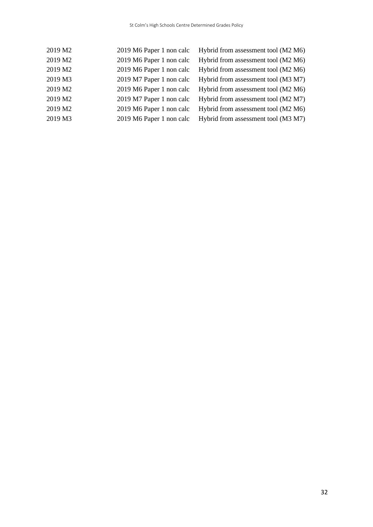| 2019 M2 | 2019 M6 Paper 1 non calc | Hybrid from assessment tool (M2 M6) |
|---------|--------------------------|-------------------------------------|
| 2019 M2 | 2019 M6 Paper 1 non calc | Hybrid from assessment tool (M2 M6) |
| 2019 M2 | 2019 M6 Paper 1 non calc | Hybrid from assessment tool (M2 M6) |
| 2019 M3 | 2019 M7 Paper 1 non calc | Hybrid from assessment tool (M3 M7) |
| 2019 M2 | 2019 M6 Paper 1 non calc | Hybrid from assessment tool (M2 M6) |
| 2019 M2 | 2019 M7 Paper 1 non calc | Hybrid from assessment tool (M2 M7) |
| 2019 M2 | 2019 M6 Paper 1 non calc | Hybrid from assessment tool (M2 M6) |
| 2019 M3 | 2019 M6 Paper 1 non calc | Hybrid from assessment tool (M3 M7) |
|         |                          |                                     |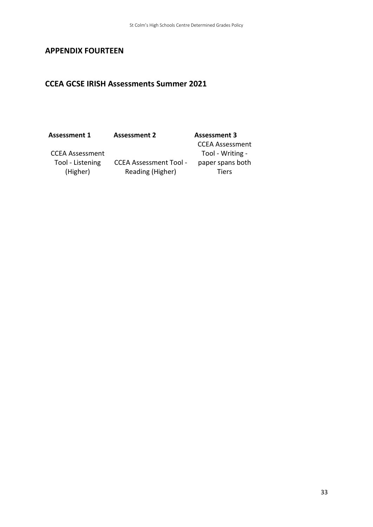## **APPENDIX FOURTEEN**

## **CCEA GCSE IRISH Assessments Summer 2021**

CCEA Assessment Tool - Listening (Higher)

CCEA Assessment Tool - Reading (Higher)

CCEA Assessment Tool - Writing paper spans both Tiers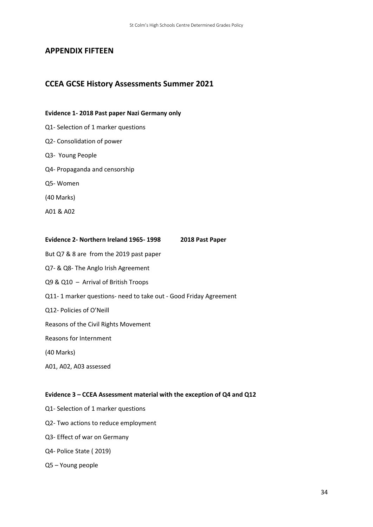## **APPENDIX FIFTEEN**

## **CCEA GCSE History Assessments Summer 2021**

#### **Evidence 1- 2018 Past paper Nazi Germany only**

- Q1- Selection of 1 marker questions
- Q2- Consolidation of power
- Q3- Young People
- Q4- Propaganda and censorship
- Q5- Women
- (40 Marks)
- A01 & A02

# **Evidence 2- Northern Ireland 1965- 1998 2018 Past Paper** But Q7 & 8 are from the 2019 past paper

- Q7- & Q8- The Anglo Irish Agreement
- Q9 & Q10 Arrival of British Troops
- Q11- 1 marker questions- need to take out Good Friday Agreement
- Q12- Policies of O'Neill
- Reasons of the Civil Rights Movement

Reasons for Internment

- (40 Marks)
- A01, A02, A03 assessed

#### **Evidence 3 – CCEA Assessment material with the exception of Q4 and Q12**

- Q1- Selection of 1 marker questions
- Q2- Two actions to reduce employment
- Q3- Effect of war on Germany
- Q4- Police State ( 2019)
- Q5 Young people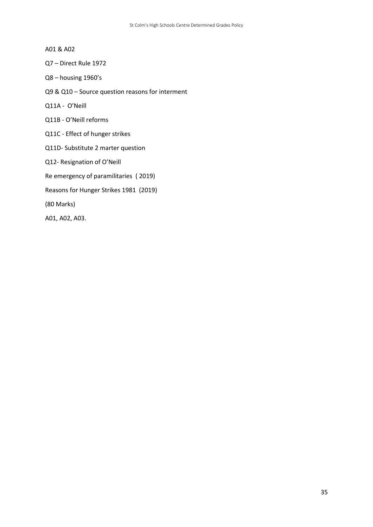- A01 & A02
- Q7 Direct Rule 1972
- Q8 housing 1960's
- Q9 & Q10 Source question reasons for interment
- Q11A O'Neill
- Q11B O'Neill reforms
- Q11C Effect of hunger strikes
- Q11D- Substitute 2 marter question
- Q12- Resignation of O'Neill
- Re emergency of paramilitaries ( 2019)
- Reasons for Hunger Strikes 1981 (2019)
- (80 Marks)
- A01, A02, A03.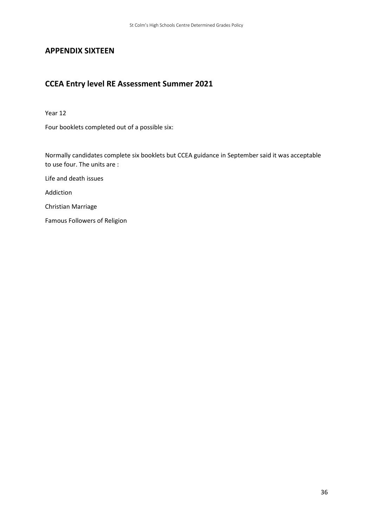## **APPENDIX SIXTEEN**

# **CCEA Entry level RE Assessment Summer 2021**

Year 12

Four booklets completed out of a possible six:

Normally candidates complete six booklets but CCEA guidance in September said it was acceptable to use four. The units are :

Life and death issues

Addiction

Christian Marriage

Famous Followers of Religion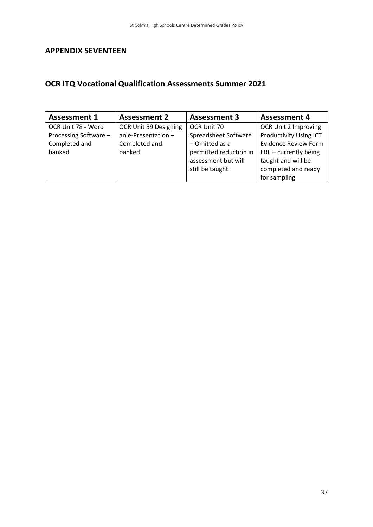# **APPENDIX SEVENTEEN**

# **OCR ITQ Vocational Qualification Assessments Summer 2021**

| <b>Assessment 1</b>   | <b>Assessment 2</b>   | <b>Assessment 3</b>    | <b>Assessment 4</b>           |
|-----------------------|-----------------------|------------------------|-------------------------------|
| OCR Unit 78 - Word    | OCR Unit 59 Designing | OCR Unit 70            | OCR Unit 2 Improving          |
| Processing Software - | an e-Presentation $-$ | Spreadsheet Software   | <b>Productivity Using ICT</b> |
| Completed and         | Completed and         | $-$ Omitted as a       | <b>Evidence Review Form</b>   |
| banked                | banked                | permitted reduction in | $ERF$ – currently being       |
|                       |                       | assessment but will    | taught and will be            |
|                       |                       | still be taught        | completed and ready           |
|                       |                       |                        | for sampling                  |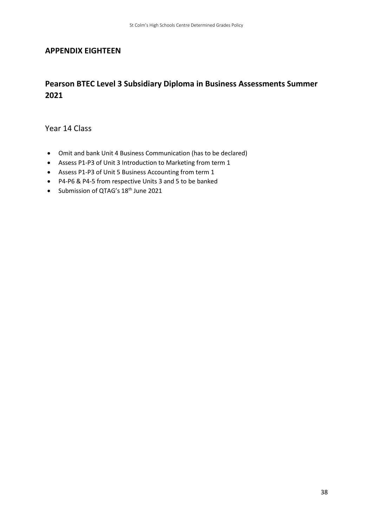## **APPENDIX EIGHTEEN**

## **Pearson BTEC Level 3 Subsidiary Diploma in Business Assessments Summer 2021**

Year 14 Class

- Omit and bank Unit 4 Business Communication (has to be declared)
- Assess P1-P3 of Unit 3 Introduction to Marketing from term 1
- Assess P1-P3 of Unit 5 Business Accounting from term 1
- P4-P6 & P4-5 from respective Units 3 and 5 to be banked
- Submission of QTAG's 18<sup>th</sup> June 2021